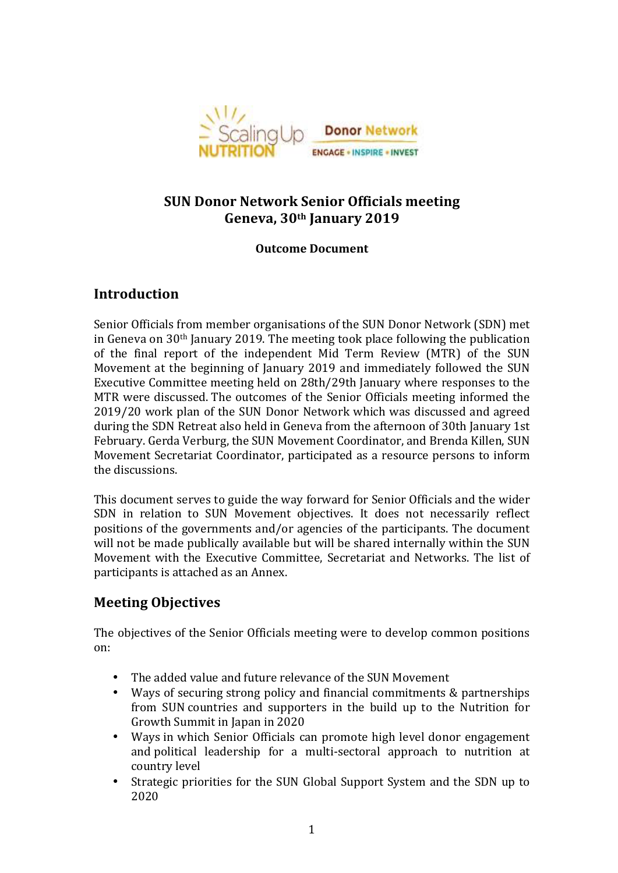

# **SUN Donor Network Senior Officials meeting** Geneva, 30<sup>th</sup> January 2019

### **Outcome Document**

## **Introduction**

Senior Officials from member organisations of the SUN Donor Network (SDN) met in Geneva on  $30<sup>th</sup>$  January 2019. The meeting took place following the publication of the final report of the independent Mid Term Review (MTR) of the SUN Movement at the beginning of January 2019 and immediately followed the SUN Executive Committee meeting held on 28th/29th January where responses to the MTR were discussed. The outcomes of the Senior Officials meeting informed the 2019/20 work plan of the SUN Donor Network which was discussed and agreed during the SDN Retreat also held in Geneva from the afternoon of 30th January 1st February. Gerda Verburg, the SUN Movement Coordinator, and Brenda Killen, SUN Movement Secretariat Coordinator, participated as a resource persons to inform the discussions.

This document serves to guide the way forward for Senior Officials and the wider SDN in relation to SUN Movement objectives. It does not necessarily reflect positions of the governments and/or agencies of the participants. The document will not be made publically available but will be shared internally within the SUN Movement with the Executive Committee, Secretariat and Networks. The list of participants is attached as an Annex.

## **Meeting Objectives**

The objectives of the Senior Officials meeting were to develop common positions on: 

- The added value and future relevance of the SUN Movement
- Ways of securing strong policy and financial commitments & partnerships from SUN countries and supporters in the build up to the Nutrition for Growth Summit in Japan in 2020
- Ways in which Senior Officials can promote high level donor engagement and political leadership for a multi-sectoral approach to nutrition at country level
- Strategic priorities for the SUN Global Support System and the SDN up to 2020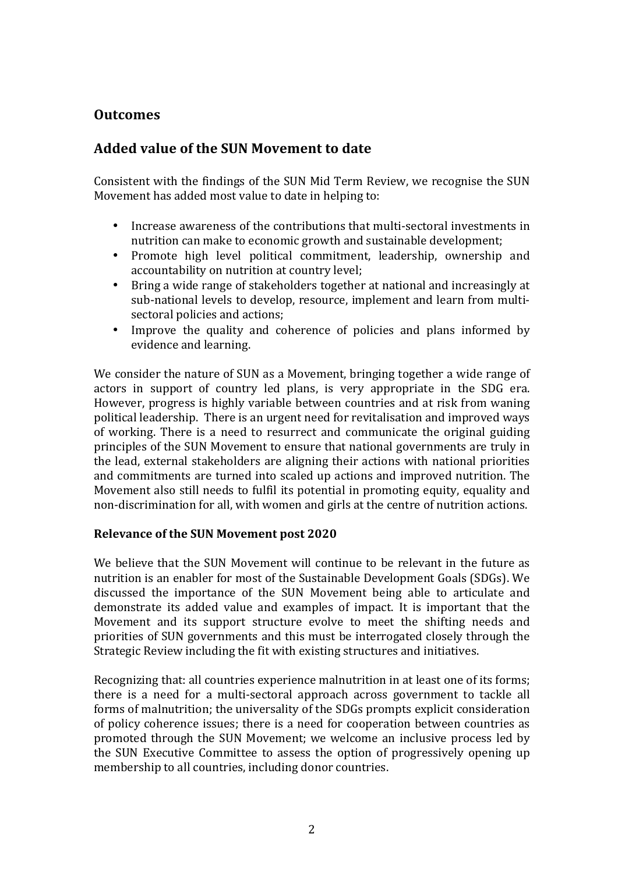## **Outcomes**

## **Added value of the SUN Movement to date**

Consistent with the findings of the SUN Mid Term Review, we recognise the SUN Movement has added most value to date in helping to:

- Increase awareness of the contributions that multi-sectoral investments in nutrition can make to economic growth and sustainable development;
- Promote high level political commitment, leadership, ownership and accountability on nutrition at country level;
- Bring a wide range of stakeholders together at national and increasingly at sub-national levels to develop, resource, implement and learn from multisectoral policies and actions;
- Improve the quality and coherence of policies and plans informed by evidence and learning.

We consider the nature of SUN as a Movement, bringing together a wide range of actors in support of country led plans, is very appropriate in the SDG era. However, progress is highly variable between countries and at risk from waning political leadership. There is an urgent need for revitalisation and improved ways of working. There is a need to resurrect and communicate the original guiding principles of the SUN Movement to ensure that national governments are truly in the lead, external stakeholders are aligning their actions with national priorities and commitments are turned into scaled up actions and improved nutrition. The Movement also still needs to fulfil its potential in promoting equity, equality and non-discrimination for all, with women and girls at the centre of nutrition actions.

#### **Relevance of the SUN Movement post 2020**

We believe that the SUN Movement will continue to be relevant in the future as nutrition is an enabler for most of the Sustainable Development Goals (SDGs). We discussed the importance of the SUN Movement being able to articulate and demonstrate its added value and examples of impact. It is important that the Movement and its support structure evolve to meet the shifting needs and priorities of SUN governments and this must be interrogated closely through the Strategic Review including the fit with existing structures and initiatives.

Recognizing that: all countries experience malnutrition in at least one of its forms; there is a need for a multi-sectoral approach across government to tackle all forms of malnutrition; the universality of the SDGs prompts explicit consideration of policy coherence issues; there is a need for cooperation between countries as promoted through the SUN Movement; we welcome an inclusive process led by the SUN Executive Committee to assess the option of progressively opening up membership to all countries, including donor countries.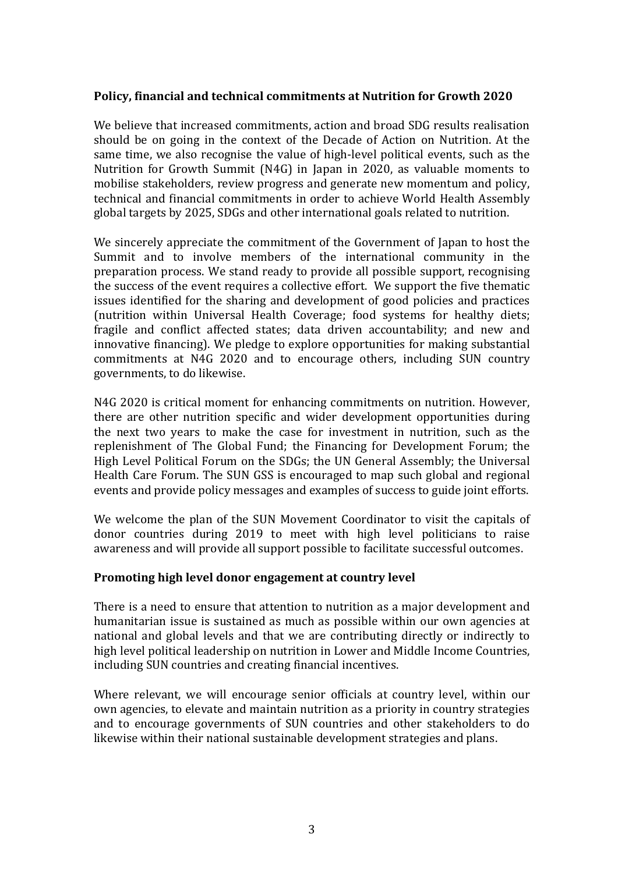#### Policy, financial and technical commitments at Nutrition for Growth 2020

We believe that increased commitments, action and broad SDG results realisation should be on going in the context of the Decade of Action on Nutrition. At the same time, we also recognise the value of high-level political events, such as the Nutrition for Growth Summit  $(N4G)$  in Japan in 2020, as valuable moments to mobilise stakeholders, review progress and generate new momentum and policy, technical and financial commitments in order to achieve World Health Assembly global targets by 2025, SDGs and other international goals related to nutrition.

We sincerely appreciate the commitment of the Government of Japan to host the Summit and to involve members of the international community in the preparation process. We stand ready to provide all possible support, recognising the success of the event requires a collective effort. We support the five thematic issues identified for the sharing and development of good policies and practices (nutrition within Universal Health Coverage; food systems for healthy diets; fragile and conflict affected states; data driven accountability; and new and innovative financing). We pledge to explore opportunities for making substantial commitments at N4G 2020 and to encourage others, including SUN country governments, to do likewise.

N4G 2020 is critical moment for enhancing commitments on nutrition. However, there are other nutrition specific and wider development opportunities during the next two vears to make the case for investment in nutrition, such as the replenishment of The Global Fund; the Financing for Development Forum; the High Level Political Forum on the SDGs; the UN General Assembly; the Universal Health Care Forum. The SUN GSS is encouraged to map such global and regional events and provide policy messages and examples of success to guide joint efforts.

We welcome the plan of the SUN Movement Coordinator to visit the capitals of donor countries during 2019 to meet with high level politicians to raise awareness and will provide all support possible to facilitate successful outcomes.

### **Promoting high level donor engagement at country level**

There is a need to ensure that attention to nutrition as a major development and humanitarian issue is sustained as much as possible within our own agencies at national and global levels and that we are contributing directly or indirectly to high level political leadership on nutrition in Lower and Middle Income Countries, including SUN countries and creating financial incentives.

Where relevant, we will encourage senior officials at country level, within our own agencies, to elevate and maintain nutrition as a priority in country strategies and to encourage governments of SUN countries and other stakeholders to do likewise within their national sustainable development strategies and plans.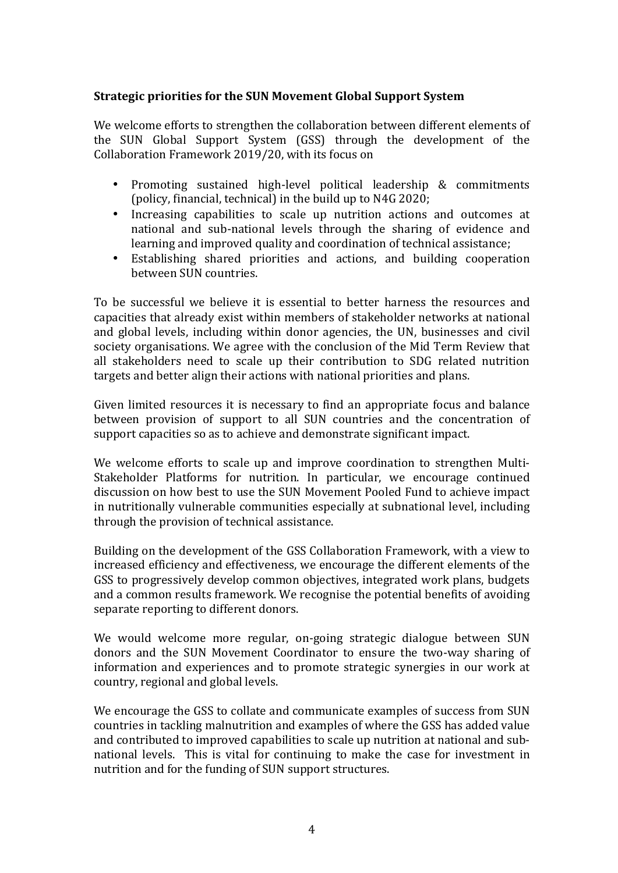### **Strategic priorities for the SUN Movement Global Support System**

We welcome efforts to strengthen the collaboration between different elements of the SUN Global Support System (GSS) through the development of the Collaboration Framework 2019/20, with its focus on

- Promoting sustained high-level political leadership & commitments (policy, financial, technical) in the build up to N4G 2020;
- Increasing capabilities to scale up nutrition actions and outcomes at national and sub-national levels through the sharing of evidence and learning and improved quality and coordination of technical assistance;
- Establishing shared priorities and actions, and building cooperation between SUN countries.

To be successful we believe it is essential to better harness the resources and capacities that already exist within members of stakeholder networks at national and global levels, including within donor agencies, the UN, businesses and civil society organisations. We agree with the conclusion of the Mid Term Review that all stakeholders need to scale up their contribution to SDG related nutrition targets and better align their actions with national priorities and plans.

Given limited resources it is necessary to find an appropriate focus and balance between provision of support to all SUN countries and the concentration of support capacities so as to achieve and demonstrate significant impact.

We welcome efforts to scale up and improve coordination to strengthen Multi-Stakeholder Platforms for nutrition. In particular, we encourage continued discussion on how best to use the SUN Movement Pooled Fund to achieve impact in nutritionally vulnerable communities especially at subnational level, including through the provision of technical assistance.

Building on the development of the GSS Collaboration Framework, with a view to increased efficiency and effectiveness, we encourage the different elements of the GSS to progressively develop common objectives, integrated work plans, budgets and a common results framework. We recognise the potential benefits of avoiding separate reporting to different donors.

We would welcome more regular, on-going strategic dialogue between SUN donors and the SUN Movement Coordinator to ensure the two-way sharing of information and experiences and to promote strategic synergies in our work at country, regional and global levels.

We encourage the GSS to collate and communicate examples of success from SUN countries in tackling malnutrition and examples of where the GSS has added value and contributed to improved capabilities to scale up nutrition at national and subnational levels. This is vital for continuing to make the case for investment in nutrition and for the funding of SUN support structures.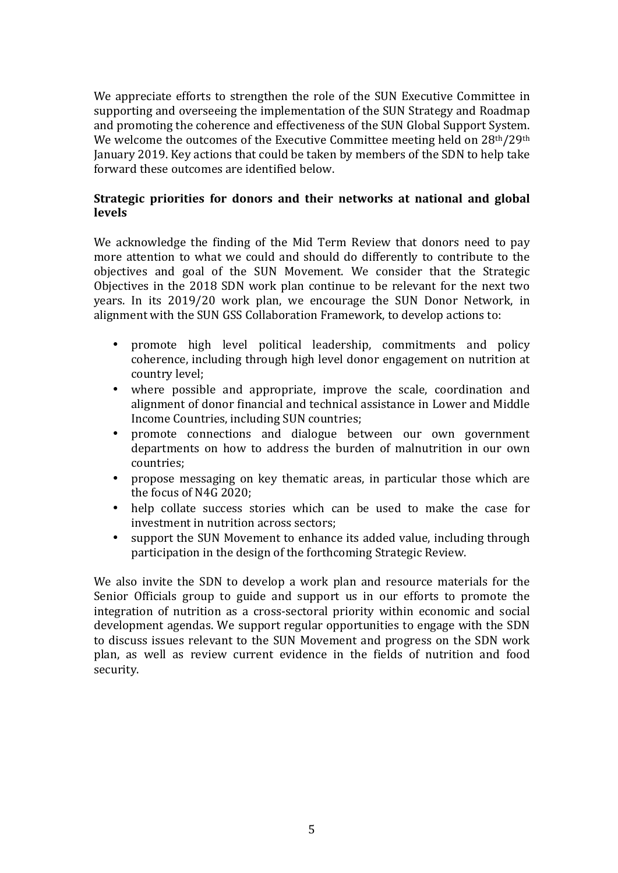We appreciate efforts to strengthen the role of the SUN Executive Committee in supporting and overseeing the implementation of the SUN Strategy and Roadmap and promoting the coherence and effectiveness of the SUN Global Support System. We welcome the outcomes of the Executive Committee meeting held on  $28<sup>th</sup>/29<sup>th</sup>$ January 2019. Key actions that could be taken by members of the SDN to help take forward these outcomes are identified below.

### **Strategic priorities for donors and their networks at national and global** levels

We acknowledge the finding of the Mid Term Review that donors need to pay more attention to what we could and should do differently to contribute to the objectives and goal of the SUN Movement. We consider that the Strategic Objectives in the  $2018$  SDN work plan continue to be relevant for the next two years. In its 2019/20 work plan, we encourage the SUN Donor Network, in alignment with the SUN GSS Collaboration Framework, to develop actions to:

- promote high level political leadership, commitments and policy coherence, including through high level donor engagement on nutrition at country level;
- where possible and appropriate, improve the scale, coordination and alignment of donor financial and technical assistance in Lower and Middle Income Countries, including SUN countries;
- promote connections and dialogue between our own government departments on how to address the burden of malnutrition in our own countries;
- propose messaging on key thematic areas, in particular those which are the focus of N4G 2020;
- help collate success stories which can be used to make the case for investment in nutrition across sectors;
- support the SUN Movement to enhance its added value, including through participation in the design of the forthcoming Strategic Review.

We also invite the SDN to develop a work plan and resource materials for the Senior Officials group to guide and support us in our efforts to promote the integration of nutrition as a cross-sectoral priority within economic and social development agendas. We support regular opportunities to engage with the SDN to discuss issues relevant to the SUN Movement and progress on the SDN work plan, as well as review current evidence in the fields of nutrition and food security.